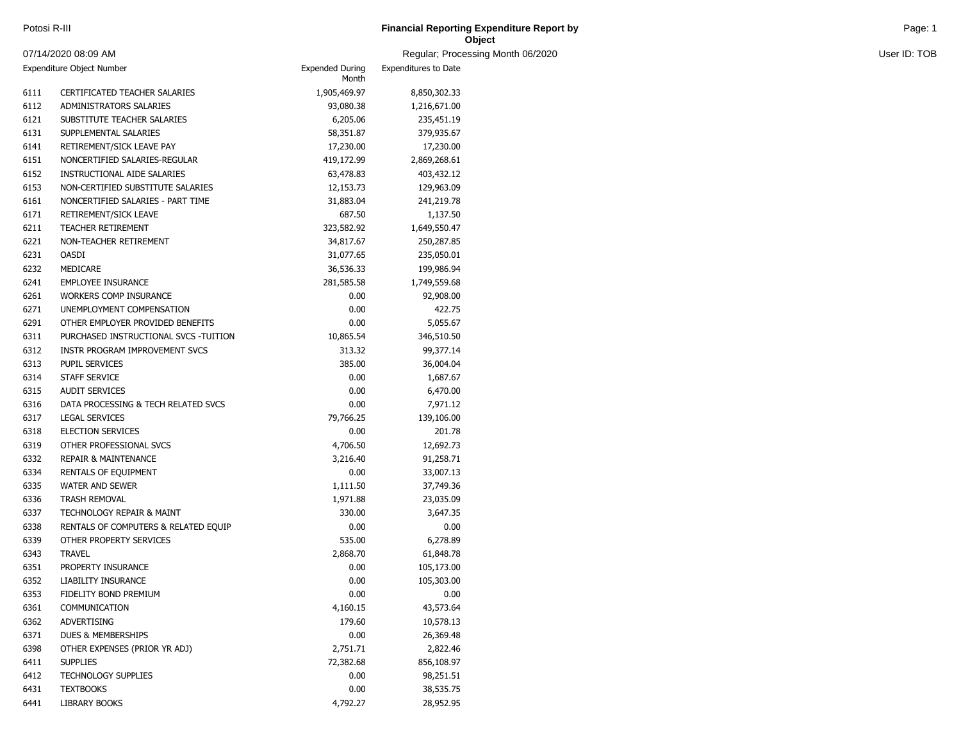| Potosi R-III | <b>Financial Reporting Expenditure Report by</b> | Page: 1 |
|--------------|--------------------------------------------------|---------|
|              | Object                                           |         |

example of the state of the state of the state of the state of the state of the state of the state of the state of the state of the state of the state of the state of the state of the state of the state of the state of the

|      | 07/14/2020 08:09 AM                   |                                 | Regular; Process     |
|------|---------------------------------------|---------------------------------|----------------------|
|      | Expenditure Object Number             | <b>Expended During</b><br>Month | Expenditures to Date |
| 6111 | CERTIFICATED TEACHER SALARIES         | 1,905,469.97                    | 8,850,302.33         |
| 6112 | ADMINISTRATORS SALARIES               | 93,080.38                       | 1,216,671.00         |
| 6121 | SUBSTITUTE TEACHER SALARIES           | 6,205.06                        | 235,451.19           |
| 6131 | SUPPLEMENTAL SALARIES                 | 58,351.87                       | 379,935.67           |
| 6141 | RETIREMENT/SICK LEAVE PAY             | 17,230.00                       | 17,230.00            |
| 6151 | NONCERTIFIED SALARIES-REGULAR         | 419,172.99                      | 2,869,268.61         |
| 6152 | <b>INSTRUCTIONAL AIDE SALARIES</b>    | 63,478.83                       | 403,432.12           |
| 6153 | NON-CERTIFIED SUBSTITUTE SALARIES     | 12,153.73                       | 129,963.09           |
| 6161 | NONCERTIFIED SALARIES - PART TIME     | 31,883.04                       | 241,219.78           |
| 6171 | RETIREMENT/SICK LEAVE                 | 687.50                          | 1,137.50             |
| 6211 | <b>TEACHER RETIREMENT</b>             | 323,582.92                      | 1,649,550.47         |
| 6221 | NON-TEACHER RETIREMENT                | 34,817.67                       | 250,287.85           |
| 6231 | <b>OASDI</b>                          | 31,077.65                       | 235,050.01           |
| 6232 | MEDICARE                              | 36,536.33                       | 199,986.94           |
| 6241 | <b>EMPLOYEE INSURANCE</b>             | 281,585.58                      | 1,749,559.68         |
| 6261 | <b>WORKERS COMP INSURANCE</b>         | 0.00                            | 92,908.00            |
| 6271 | UNEMPLOYMENT COMPENSATION             | 0.00                            | 422.75               |
| 6291 | OTHER EMPLOYER PROVIDED BENEFITS      | 0.00                            | 5,055.67             |
| 6311 | PURCHASED INSTRUCTIONAL SVCS -TUITION | 10,865.54                       | 346,510.50           |
| 6312 | INSTR PROGRAM IMPROVEMENT SVCS        | 313.32                          | 99,377.14            |
| 6313 | PUPIL SERVICES                        | 385.00                          | 36,004.04            |
| 6314 | STAFF SERVICE                         | 0.00                            | 1,687.67             |
| 6315 | <b>AUDIT SERVICES</b>                 | 0.00                            | 6,470.00             |
| 6316 | DATA PROCESSING & TECH RELATED SVCS   | 0.00                            | 7,971.12             |
| 6317 | <b>LEGAL SERVICES</b>                 | 79,766.25                       | 139,106.00           |
| 6318 | <b>ELECTION SERVICES</b>              | 0.00                            | 201.78               |
| 6319 | OTHER PROFESSIONAL SVCS               | 4,706.50                        | 12,692.73            |
| 6332 | <b>REPAIR &amp; MAINTENANCE</b>       | 3,216.40                        | 91,258.71            |
| 6334 | RENTALS OF EQUIPMENT                  | 0.00                            | 33,007.13            |
| 6335 | <b>WATER AND SEWER</b>                | 1,111.50                        | 37,749.36            |
| 6336 | <b>TRASH REMOVAL</b>                  | 1,971.88                        | 23,035.09            |
| 6337 | TECHNOLOGY REPAIR & MAINT             | 330.00                          | 3,647.35             |
| 6338 | RENTALS OF COMPUTERS & RELATED EQUIP  | 0.00                            | 0.00                 |
| 6339 | OTHER PROPERTY SERVICES               | 535.00                          | 6,278.89             |
| 6343 | TRAVEL                                | 2,868.70                        | 61,848.78            |
| 6351 | PROPERTY INSURANCE                    | 0.00                            | 105,173.00           |
| 6352 | LIABILITY INSURANCE                   | 0.00                            | 105,303.00           |
| 6353 | FIDELITY BOND PREMIUM                 | 0.00                            | 0.00                 |
| 6361 | COMMUNICATION                         | 4,160.15                        | 43,573.64            |
| 6362 | <b>ADVERTISING</b>                    | 179.60                          | 10,578.13            |
| 6371 | <b>DUES &amp; MEMBERSHIPS</b>         | 0.00                            | 26,369.48            |
| 6398 | OTHER EXPENSES (PRIOR YR ADJ)         | 2,751.71                        | 2,822.46             |
| 6411 | <b>SUPPLIES</b>                       | 72,382.68                       | 856,108.97           |
| 6412 | <b>TECHNOLOGY SUPPLIES</b>            | 0.00                            | 98,251.51            |
| 6431 | <b>TEXTBOOKS</b>                      | 0.00                            | 38,535.75            |
| 6441 | LIBRARY BOOKS                         | 4,792.27                        | 28,952.95            |